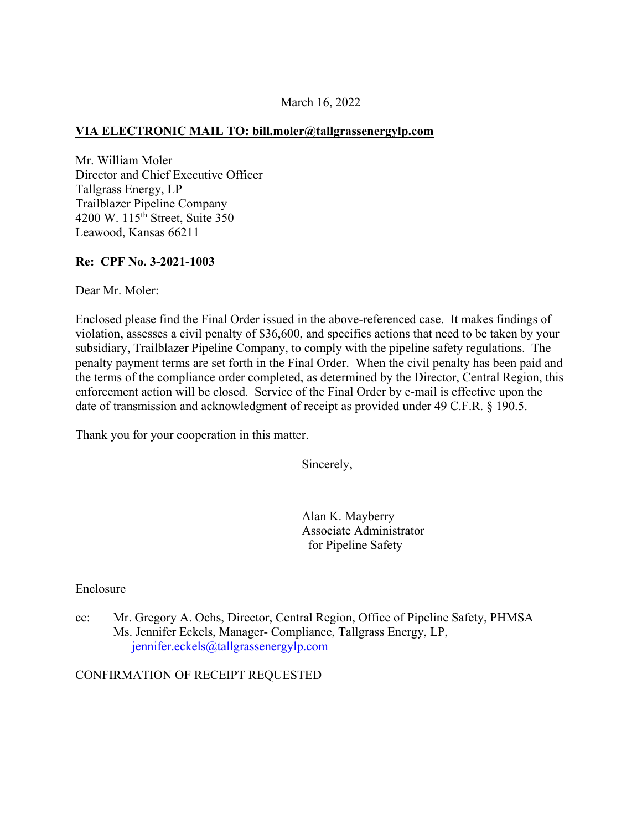### March 16, 2022

### **VIA ELECTRONIC MAIL TO: [bill.moler@tallgrassenergylp.com](mailto:bill.moler@tallgrassenergylp.com)**

Mr. William Moler Director and Chief Executive Officer Tallgrass Energy, LP Trailblazer Pipeline Company 4200 W. 115th Street, Suite 350 Leawood, Kansas 66211

### **Re: CPF No. 3-2021-1003**

Dear Mr. Moler:

Enclosed please find the Final Order issued in the above-referenced case. It makes findings of violation, assesses a civil penalty of \$36,600, and specifies actions that need to be taken by your subsidiary, Trailblazer Pipeline Company, to comply with the pipeline safety regulations. The penalty payment terms are set forth in the Final Order. When the civil penalty has been paid and the terms of the compliance order completed, as determined by the Director, Central Region, this enforcement action will be closed. Service of the Final Order by e-mail is effective upon the date of transmission and acknowledgment of receipt as provided under 49 C.F.R. § 190.5.

Thank you for your cooperation in this matter.

Sincerely,

Alan K. Mayberry Associate Administrator for Pipeline Safety

Enclosure

cc: Mr. Gregory A. Ochs, Director, Central Region, Office of Pipeline Safety, PHMSA Ms. Jennifer Eckels, Manager- Compliance, Tallgrass Energy, LP, [jennifer.eckels@tallgrassenergylp.com](mailto:jennifer.eckels@tallgrassenergylp.com) 

### CONFIRMATION OF RECEIPT REQUESTED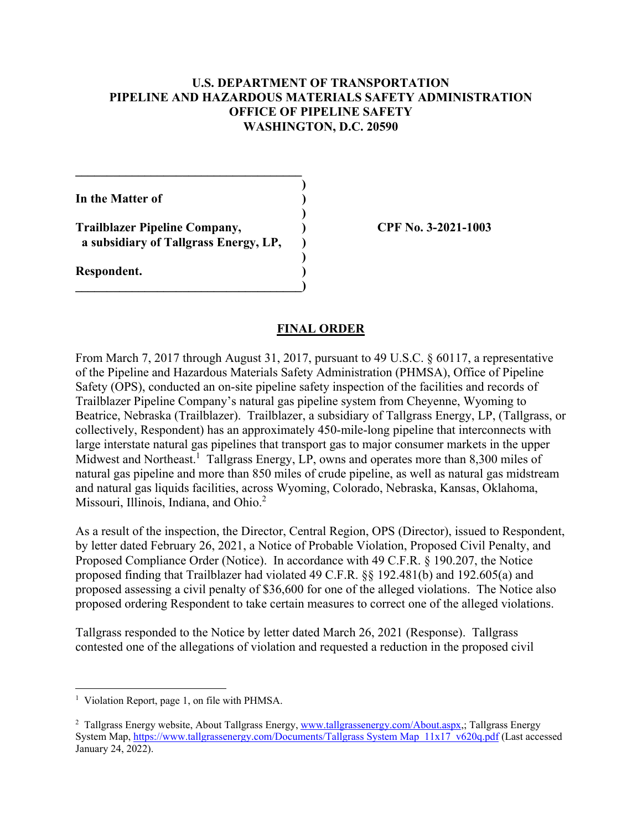## **U.S. DEPARTMENT OF TRANSPORTATION PIPELINE AND HAZARDOUS MATERIALS SAFETY ADMINISTRATION OFFICE OF PIPELINE SAFETY WASHINGTON, D.C. 20590**

**)** 

**)** 

**)** 

**In the Matter of )** 

**Trailblazer Pipeline Company, ) CPF No. 3-2021-1003 a subsidiary of Tallgrass Energy, LP, )** 

**\_\_\_\_\_\_\_\_\_\_\_\_\_\_\_\_\_\_\_\_\_\_\_\_\_\_\_\_\_\_\_\_\_\_\_\_)** 

 $\mathcal{L}=\{1,2,3,4,5\}$ 

**Respondent. )** 

## **FINAL ORDER**

From March 7, 2017 through August 31, 2017, pursuant to 49 U.S.C. § 60117, a representative of the Pipeline and Hazardous Materials Safety Administration (PHMSA), Office of Pipeline Safety (OPS), conducted an on-site pipeline safety inspection of the facilities and records of Trailblazer Pipeline Company's natural gas pipeline system from Cheyenne, Wyoming to Beatrice, Nebraska (Trailblazer). Trailblazer, a subsidiary of Tallgrass Energy, LP, (Tallgrass, or collectively, Respondent) has an approximately 450-mile-long pipeline that interconnects with large interstate natural gas pipelines that transport gas to major consumer markets in the upper Midwest and Northeast.<sup>1</sup> Tallgrass Energy, LP, owns and operates more than 8,300 miles of natural gas pipeline and more than 850 miles of crude pipeline, as well as natural gas midstream and natural gas liquids facilities, across Wyoming, Colorado, Nebraska, Kansas, Oklahoma, Missouri, Illinois, Indiana, and Ohio.<sup>2</sup>

As a result of the inspection, the Director, Central Region, OPS (Director), issued to Respondent, by letter dated February 26, 2021, a Notice of Probable Violation, Proposed Civil Penalty, and Proposed Compliance Order (Notice). In accordance with 49 C.F.R. § 190.207, the Notice proposed finding that Trailblazer had violated 49 C.F.R. §§ 192.481(b) and 192.605(a) and proposed assessing a civil penalty of \$36,600 for one of the alleged violations. The Notice also proposed ordering Respondent to take certain measures to correct one of the alleged violations.

Tallgrass responded to the Notice by letter dated March 26, 2021 (Response). Tallgrass contested one of the allegations of violation and requested a reduction in the proposed civil

 $\overline{a}$ 

<sup>&</sup>lt;sup>1</sup> Violation Report, page 1, on file with PHMSA.

<sup>&</sup>lt;sup>2</sup> Tallgrass Energy website, About Tallgrass Energy, [www.tallgrassenergy.com/About.aspx,](www.tallgrassenergy.com/About.aspx); Tallgrass Energy System Map,<https://www.tallgrassenergy.com/Documents/Tallgrass> System Map 11x17 v620q.pdf (Last accessed January 24, 2022).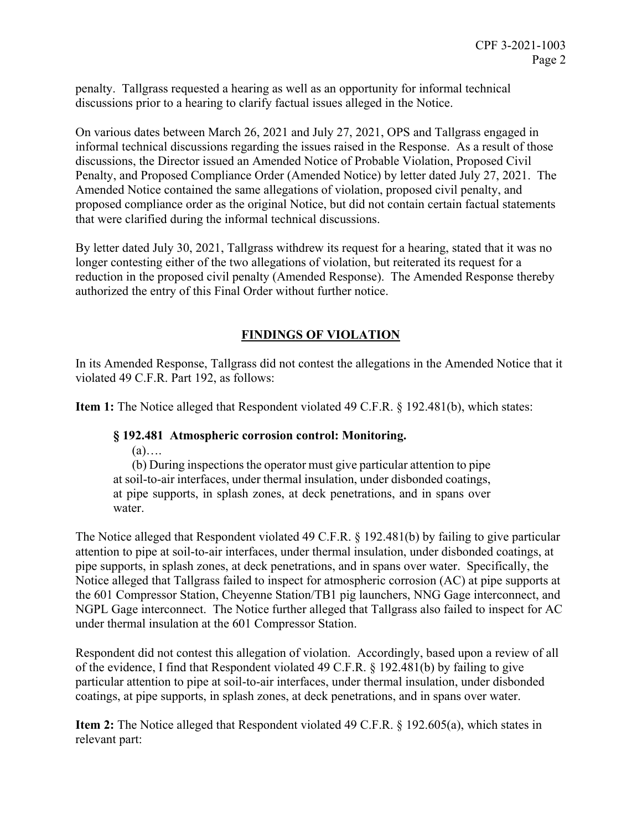penalty. Tallgrass requested a hearing as well as an opportunity for informal technical discussions prior to a hearing to clarify factual issues alleged in the Notice.

On various dates between March 26, 2021 and July 27, 2021, OPS and Tallgrass engaged in informal technical discussions regarding the issues raised in the Response. As a result of those discussions, the Director issued an Amended Notice of Probable Violation, Proposed Civil Penalty, and Proposed Compliance Order (Amended Notice) by letter dated July 27, 2021. The Amended Notice contained the same allegations of violation, proposed civil penalty, and proposed compliance order as the original Notice, but did not contain certain factual statements that were clarified during the informal technical discussions.

By letter dated July 30, 2021, Tallgrass withdrew its request for a hearing, stated that it was no longer contesting either of the two allegations of violation, but reiterated its request for a reduction in the proposed civil penalty (Amended Response). The Amended Response thereby authorized the entry of this Final Order without further notice.

# **FINDINGS OF VIOLATION**

In its Amended Response, Tallgrass did not contest the allegations in the Amended Notice that it violated 49 C.F.R. Part 192, as follows:

**Item 1:** The Notice alleged that Respondent violated 49 C.F.R. § 192.481(b), which states:

# **§ 192.481 Atmospheric corrosion control: Monitoring.**

(a)….

(b) During inspections the operator must give particular attention to pipe at soil-to-air interfaces, under thermal insulation, under disbonded coatings, at pipe supports, in splash zones, at deck penetrations, and in spans over water.

The Notice alleged that Respondent violated 49 C.F.R. § 192.481(b) by failing to give particular attention to pipe at soil-to-air interfaces, under thermal insulation, under disbonded coatings, at pipe supports, in splash zones, at deck penetrations, and in spans over water. Specifically, the Notice alleged that Tallgrass failed to inspect for atmospheric corrosion (AC) at pipe supports at the 601 Compressor Station, Cheyenne Station/TB1 pig launchers, NNG Gage interconnect, and NGPL Gage interconnect. The Notice further alleged that Tallgrass also failed to inspect for AC under thermal insulation at the 601 Compressor Station.

Respondent did not contest this allegation of violation. Accordingly, based upon a review of all of the evidence, I find that Respondent violated 49 C.F.R. § 192.481(b) by failing to give particular attention to pipe at soil-to-air interfaces, under thermal insulation, under disbonded coatings, at pipe supports, in splash zones, at deck penetrations, and in spans over water.

**Item 2:** The Notice alleged that Respondent violated 49 C.F.R. § 192.605(a), which states in relevant part: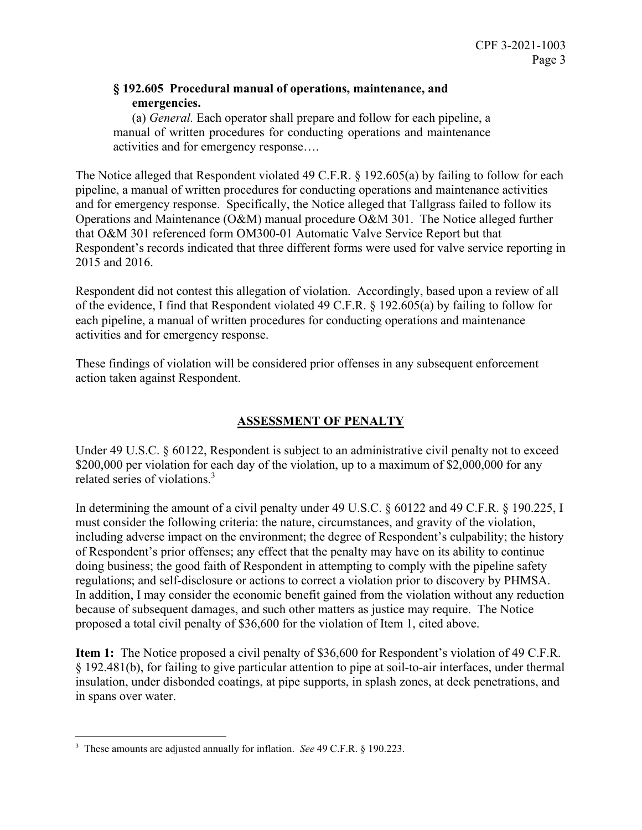# **§ 192.605 Procedural manual of operations, maintenance, and emergencies.**

(a) *General.* Each operator shall prepare and follow for each pipeline, a manual of written procedures for conducting operations and maintenance activities and for emergency response….

The Notice alleged that Respondent violated 49 C.F.R. § 192.605(a) by failing to follow for each pipeline, a manual of written procedures for conducting operations and maintenance activities and for emergency response. Specifically, the Notice alleged that Tallgrass failed to follow its Operations and Maintenance (O&M) manual procedure O&M 301. The Notice alleged further that O&M 301 referenced form OM300-01 Automatic Valve Service Report but that Respondent's records indicated that three different forms were used for valve service reporting in 2015 and 2016.

Respondent did not contest this allegation of violation. Accordingly, based upon a review of all of the evidence, I find that Respondent violated 49 C.F.R. § 192.605(a) by failing to follow for each pipeline, a manual of written procedures for conducting operations and maintenance activities and for emergency response.

These findings of violation will be considered prior offenses in any subsequent enforcement action taken against Respondent.

# **ASSESSMENT OF PENALTY**

Under 49 U.S.C. § 60122, Respondent is subject to an administrative civil penalty not to exceed \$200,000 per violation for each day of the violation, up to a maximum of \$2,000,000 for any related series of violations.3

In determining the amount of a civil penalty under 49 U.S.C. § 60122 and 49 C.F.R. § 190.225, I must consider the following criteria: the nature, circumstances, and gravity of the violation, including adverse impact on the environment; the degree of Respondent's culpability; the history of Respondent's prior offenses; any effect that the penalty may have on its ability to continue doing business; the good faith of Respondent in attempting to comply with the pipeline safety regulations; and self-disclosure or actions to correct a violation prior to discovery by PHMSA. In addition, I may consider the economic benefit gained from the violation without any reduction because of subsequent damages, and such other matters as justice may require. The Notice proposed a total civil penalty of \$36,600 for the violation of Item 1, cited above.

**Item 1:** The Notice proposed a civil penalty of \$36,600 for Respondent's violation of 49 C.F.R. § 192.481(b), for failing to give particular attention to pipe at soil-to-air interfaces, under thermal insulation, under disbonded coatings, at pipe supports, in splash zones, at deck penetrations, and in spans over water.

 $\overline{a}$ 3 These amounts are adjusted annually for inflation. *See* 49 C.F.R. § 190.223.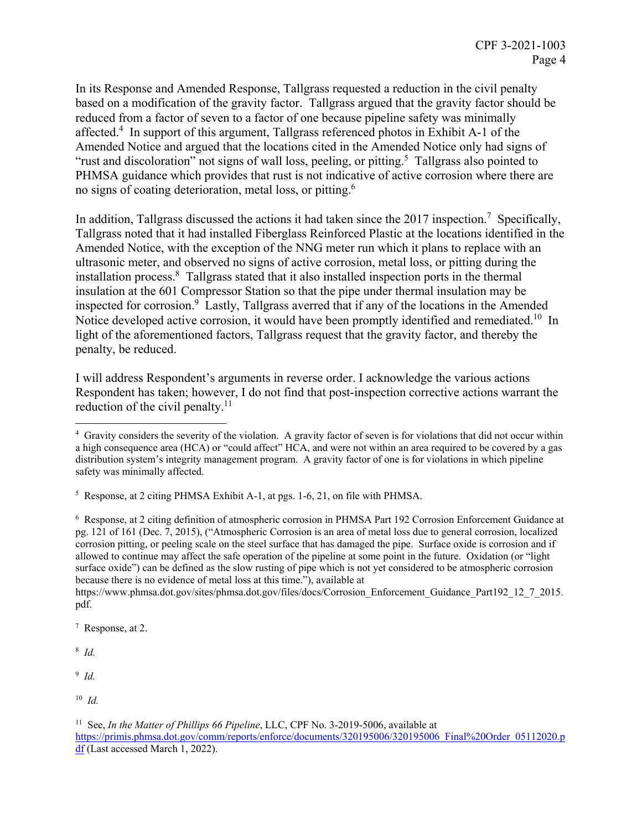In its Response and Amended Response, Tallgrass requested a reduction in the civil penalty based on a modification of the gravity factor. Tallgrass argued that the gravity factor should be reduced from a factor of seven to a factor of one because pipeline safety was minimally affected.<sup>4</sup> In support of this argument, Tallgrass referenced photos in Exhibit A-1 of the Amended Notice and argued that the locations cited in the Amended Notice only had signs of "rust and discoloration" not signs of wall loss, peeling, or pitting.<sup>5</sup> Tallgrass also pointed to PHMSA guidance which provides that rust is not indicative of active corrosion where there are no signs of coating deterioration, metal loss, or pitting.6

In addition, Tallgrass discussed the actions it had taken since the 2017 inspection.<sup>7</sup> Specifically, Tallgrass noted that it had installed Fiberglass Reinforced Plastic at the locations identified in the Amended Notice, with the exception of the NNG meter run which it plans to replace with an ultrasonic meter, and observed no signs of active corrosion, metal loss, or pitting during the installation process.<sup>8</sup> Tallgrass stated that it also installed inspection ports in the thermal insulation at the 601 Compressor Station so that the pipe under thermal insulation may be inspected for corrosion.<sup>9</sup> Lastly, Tallgrass averred that if any of the locations in the Amended Notice developed active corrosion, it would have been promptly identified and remediated.<sup>10</sup> In light of the aforementioned factors, Tallgrass request that the gravity factor, and thereby the penalty, be reduced.

reduction of the civil penalty. $11$ I will address Respondent's arguments in reverse order. I acknowledge the various actions Respondent has taken; however, I do not find that post-inspection corrective actions warrant the

 $8$  Id.

<sup>9</sup>*Id.* 

 4 Gravity considers the severity of the violation. A gravity factor of seven is for violations that did not occur within a high consequence area (HCA) or "could affect" HCA, and were not within an area required to be covered by a gas distribution system's integrity management program. A gravity factor of one is for violations in which pipeline safety was minimally affected.

<sup>&</sup>lt;sup>5</sup> Response, at 2 citing PHMSA Exhibit A-1, at pgs. 1-6, 21, on file with PHMSA.

 pg. 121 of 161 (Dec. 7, 2015), ("Atmospheric Corrosion is an area of metal loss due to general corrosion, localized allowed to continue may affect the safe operation of the pipeline at some point in the future. Oxidation (or "light 6 Response, at 2 citing definition of atmospheric corrosion in PHMSA Part 192 Corrosion Enforcement Guidance at corrosion pitting, or peeling scale on the steel surface that has damaged the pipe. Surface oxide is corrosion and if surface oxide") can be defined as the slow rusting of pipe which is not yet considered to be atmospheric corrosion because there is no evidence of metal loss at this time."), available at

pdf.<br>7 Re [https://www.phmsa.dot.gov/sites/phmsa.dot.gov/files/docs/Corrosion\\_Enforcement\\_Guidance\\_Part192\\_12\\_7\\_2015](https://www.phmsa.dot.gov/sites/phmsa.dot.gov/files/docs/Corrosion_Enforcement_Guidance_Part192_12_7_2015).

 $R^7$  Response, at 2.  $R^8$  *Id.* 

 $10$  *Id.* 

<sup>&</sup>lt;sup>11</sup> See, *In the Matter of Phillips 66 Pipeline*, LLC, CPF No. 3-2019-5006, available at <https://primis.phmsa.dot.gov/comm/reports/enforce/documents/320195006/320195006> Final%20Order 05112020.p df (Last accessed March 1, 2022).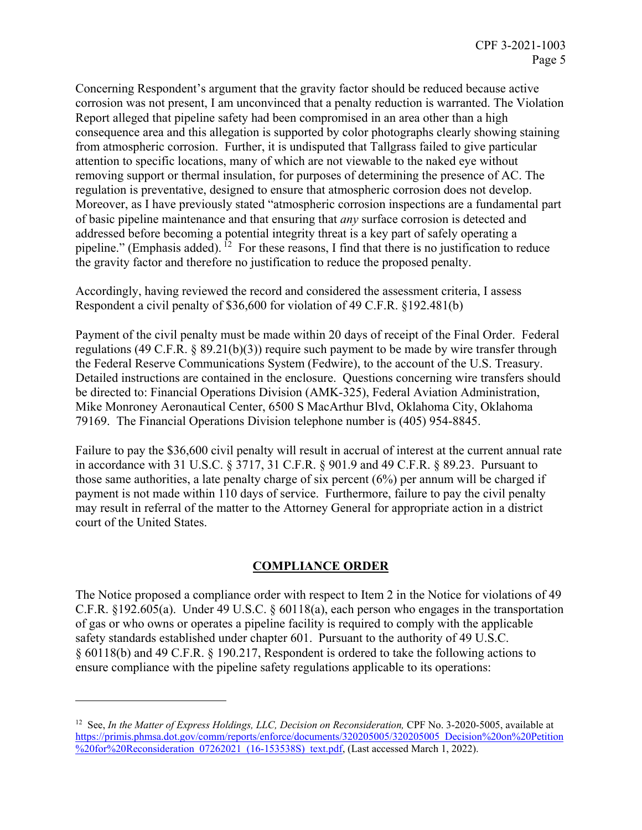Concerning Respondent's argument that the gravity factor should be reduced because active corrosion was not present, I am unconvinced that a penalty reduction is warranted. The Violation Report alleged that pipeline safety had been compromised in an area other than a high consequence area and this allegation is supported by color photographs clearly showing staining from atmospheric corrosion. Further, it is undisputed that Tallgrass failed to give particular attention to specific locations, many of which are not viewable to the naked eye without removing support or thermal insulation, for purposes of determining the presence of AC. The regulation is preventative, designed to ensure that atmospheric corrosion does not develop. Moreover, as I have previously stated "atmospheric corrosion inspections are a fundamental part of basic pipeline maintenance and that ensuring that *any* surface corrosion is detected and addressed before becoming a potential integrity threat is a key part of safely operating a pipeline." (Emphasis added).  $12$  For these reasons, I find that there is no justification to reduce the gravity factor and therefore no justification to reduce the proposed penalty.

Accordingly, having reviewed the record and considered the assessment criteria, I assess Respondent a civil penalty of \$36,600 for violation of 49 C.F.R. §192.481(b)

Payment of the civil penalty must be made within 20 days of receipt of the Final Order. Federal regulations (49 C.F.R. § 89.21(b)(3)) require such payment to be made by wire transfer through the Federal Reserve Communications System (Fedwire), to the account of the U.S. Treasury. Detailed instructions are contained in the enclosure. Questions concerning wire transfers should be directed to: Financial Operations Division (AMK-325), Federal Aviation Administration, Mike Monroney Aeronautical Center, 6500 S MacArthur Blvd, Oklahoma City, Oklahoma 79169. The Financial Operations Division telephone number is (405) 954-8845.

Failure to pay the \$36,600 civil penalty will result in accrual of interest at the current annual rate in accordance with 31 U.S.C. § 3717, 31 C.F.R. § 901.9 and 49 C.F.R. § 89.23. Pursuant to those same authorities, a late penalty charge of six percent (6%) per annum will be charged if payment is not made within 110 days of service. Furthermore, failure to pay the civil penalty may result in referral of the matter to the Attorney General for appropriate action in a district court of the United States.

# **COMPLIANCE ORDER**

The Notice proposed a compliance order with respect to Item 2 in the Notice for violations of 49 C.F.R. §192.605(a). Under 49 U.S.C. § 60118(a), each person who engages in the transportation of gas or who owns or operates a pipeline facility is required to comply with the applicable safety standards established under chapter 601. Pursuant to the authority of 49 U.S.C. § 60118(b) and 49 C.F.R. § 190.217, Respondent is ordered to take the following actions to ensure compliance with the pipeline safety regulations applicable to its operations:

 $\overline{a}$ 

<sup>&</sup>lt;sup>12</sup> See, *In the Matter of Express Holdings, LLC, Decision on Reconsideration, CPF No. 3-2020-5005, available at* <https://primis.phmsa.dot.gov/comm/reports/enforce/documents/320205005/320205005> Decision%20on%20Petition %20for%20Reconsideration 07262021 (16-153538S) text.pdf, (Last accessed March 1, 2022).